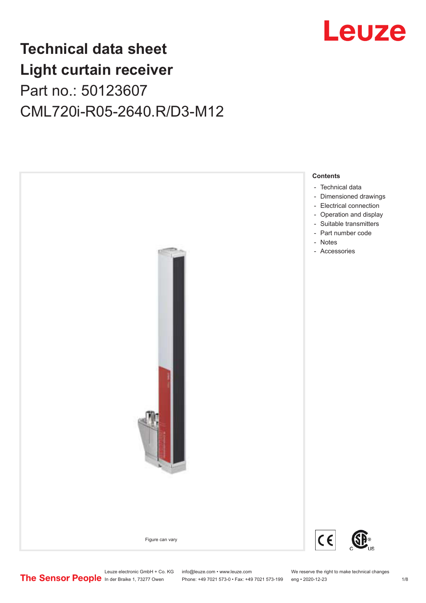

## **Technical data sheet Light curtain receiver** Part no.: 50123607 CML720i-R05-2640.R/D3-M12



Leuze electronic GmbH + Co. KG info@leuze.com • www.leuze.com We reserve the right to make technical changes<br>
The Sensor People in der Braike 1, 73277 Owen Phone: +49 7021 573-0 • Fax: +49 7021 573-199 eng • 2020-12-23

Phone: +49 7021 573-0 • Fax: +49 7021 573-199 eng • 2020-12-23 1 /8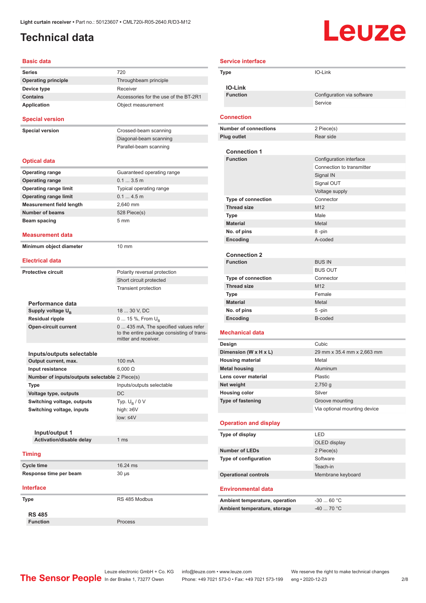### <span id="page-1-0"></span>**Technical data**

# **Leuze**

| <b>Basic data</b>                              |                                                                    |
|------------------------------------------------|--------------------------------------------------------------------|
| <b>Series</b>                                  | 720                                                                |
| <b>Operating principle</b>                     | Throughbeam principle                                              |
| Device type                                    | Receiver                                                           |
| <b>Contains</b>                                | Accessories for the use of the BT-2R1                              |
| <b>Application</b>                             | Object measurement                                                 |
| <b>Special version</b>                         |                                                                    |
| <b>Special version</b>                         | Crossed-beam scanning                                              |
|                                                | Diagonal-beam scanning                                             |
|                                                | Parallel-beam scanning                                             |
| <b>Optical data</b>                            |                                                                    |
| <b>Operating range</b>                         | Guaranteed operating range                                         |
| <b>Operating range</b>                         | 0.13.5m                                                            |
| <b>Operating range limit</b>                   | Typical operating range                                            |
| <b>Operating range limit</b>                   | 0.14.5m                                                            |
| <b>Measurement field length</b>                | 2,640 mm                                                           |
| <b>Number of beams</b>                         | 528 Piece(s)                                                       |
| Beam spacing                                   | 5 <sub>mm</sub>                                                    |
|                                                |                                                                    |
| Measurement data                               |                                                                    |
| Minimum object diameter                        | 10 mm                                                              |
| <b>Electrical data</b>                         |                                                                    |
| <b>Protective circuit</b>                      | Polarity reversal protection                                       |
|                                                | Short circuit protected                                            |
|                                                | <b>Transient protection</b>                                        |
| Performance data                               |                                                                    |
| Supply voltage U <sub>B</sub>                  | 18  30 V, DC                                                       |
| <b>Residual ripple</b>                         | 0  15 %, From U <sub>B</sub>                                       |
| <b>Open-circuit current</b>                    | 0  435 mA, The specified values refer                              |
|                                                | to the entire package consisting of trans-<br>mitter and receiver. |
| Inputs/outputs selectable                      |                                                                    |
| Output current, max.                           | 100 mA                                                             |
| Input resistance                               | $6,000 \Omega$                                                     |
| Number of inputs/outputs selectable 2 Piece(s) |                                                                    |
| Type                                           | Inputs/outputs selectable                                          |
| Voltage type, outputs                          | DC                                                                 |
| Switching voltage, outputs                     | Typ. U <sub>B</sub> / 0 V                                          |
| Switching voltage, inputs                      | high: $\geq 6V$                                                    |
|                                                | low: $\leq 4V$                                                     |
|                                                |                                                                    |
| Input/output 1                                 |                                                                    |
| Activation/disable delay                       | 1 <sub>ms</sub>                                                    |
| <b>Timing</b>                                  |                                                                    |
| <b>Cycle time</b>                              | 16.24 ms                                                           |
| Response time per beam                         | $30 \mu s$                                                         |
| <b>Interface</b>                               |                                                                    |
| Type                                           | RS 485 Modbus                                                      |
|                                                |                                                                    |
| <b>RS 485</b>                                  |                                                                    |
| <b>Function</b>                                | Process                                                            |

| <b>Service interface</b>                         |                                        |
|--------------------------------------------------|----------------------------------------|
| Type                                             | IO-Link                                |
|                                                  |                                        |
| <b>IO-Link</b>                                   |                                        |
| <b>Function</b>                                  | Configuration via software             |
|                                                  | Service                                |
| <b>Connection</b>                                |                                        |
| <b>Number of connections</b>                     | 2 Piece(s)                             |
| <b>Plug outlet</b>                               | Rear side                              |
|                                                  |                                        |
| <b>Connection 1</b><br><b>Function</b>           |                                        |
|                                                  | Configuration interface                |
|                                                  | Connection to transmitter<br>Signal IN |
|                                                  |                                        |
|                                                  | Signal OUT<br>Voltage supply           |
| <b>Type of connection</b>                        | Connector                              |
| <b>Thread size</b>                               | M <sub>12</sub>                        |
| Type                                             | Male                                   |
| <b>Material</b>                                  | Metal                                  |
| No. of pins                                      | 8-pin                                  |
| Encoding                                         | A-coded                                |
|                                                  |                                        |
| <b>Connection 2</b>                              |                                        |
| <b>Function</b>                                  | <b>BUS IN</b>                          |
|                                                  | <b>BUS OUT</b>                         |
| <b>Type of connection</b>                        | Connector                              |
| <b>Thread size</b>                               | M <sub>12</sub>                        |
| Type                                             | Female                                 |
| <b>Material</b>                                  | Metal                                  |
| No. of pins                                      | 5-pin                                  |
| Encoding                                         | B-coded                                |
|                                                  |                                        |
| <b>Mechanical data</b>                           |                                        |
| Design                                           | Cubic                                  |
| Dimension (W x H x L)<br><b>Housing material</b> | 29 mm x 35.4 mm x 2,663 mm<br>Metal    |
| <b>Metal housing</b>                             | Aluminum                               |
| Lens cover material                              | Plastic                                |
| Net weight                                       | $2,750$ g                              |
| <b>Housing color</b>                             | Silver                                 |
| <b>Type of fastening</b>                         | Groove mounting                        |
|                                                  | Via optional mounting device           |
|                                                  |                                        |
| <b>Operation and display</b>                     |                                        |
| Type of display                                  | LED                                    |
|                                                  | OLED display                           |
| <b>Number of LEDs</b>                            | 2 Piece(s)                             |
| Type of configuration                            | Software                               |
|                                                  | Teach-in                               |
| <b>Operational controls</b>                      | Membrane keyboard                      |
| <b>Environmental data</b>                        |                                        |
|                                                  |                                        |
| Ambient temperature, operation                   | $-3060 °C$                             |
| Ambient temperature, storage                     | $-40$ 70 °C                            |
|                                                  |                                        |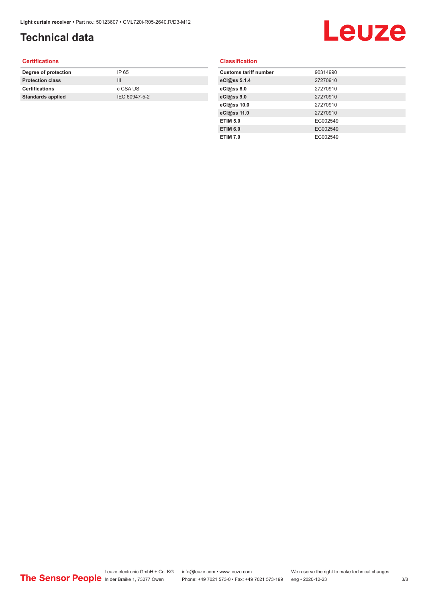### **Technical data**

## Leuze

#### **Certifications**

| Degree of protection     | IP 65         |
|--------------------------|---------------|
| <b>Protection class</b>  | Ш             |
| <b>Certifications</b>    | c CSA US      |
| <b>Standards applied</b> | IEC 60947-5-2 |
|                          |               |

#### **Classification**

| <b>Customs tariff number</b> | 90314990 |
|------------------------------|----------|
| eCl@ss 5.1.4                 | 27270910 |
| eCl@ss 8.0                   | 27270910 |
| eCl@ss 9.0                   | 27270910 |
| eCl@ss 10.0                  | 27270910 |
| eCl@ss 11.0                  | 27270910 |
| <b>ETIM 5.0</b>              | EC002549 |
| <b>ETIM 6.0</b>              | EC002549 |
| <b>ETIM 7.0</b>              | EC002549 |
|                              |          |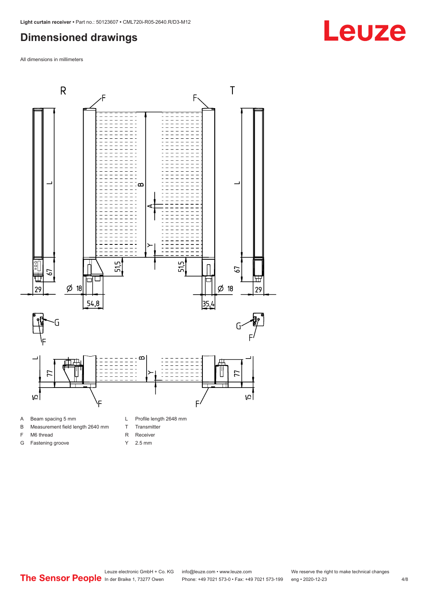#### <span id="page-3-0"></span>**Dimensioned drawings**

All dimensions in millimeters



A Beam spacing 5 mm

G Fastening groove

- B Measurement field length 2640 mm
- F M6 thread
- R Receiver
	- Y 2.5 mm

T Transmitter

**Leuze**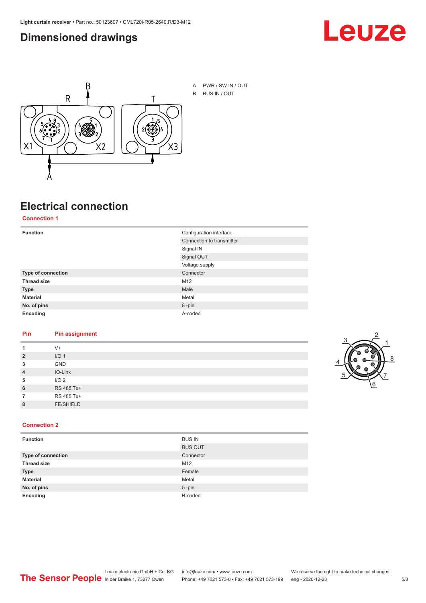#### <span id="page-4-0"></span>**Dimensioned drawings**





## **Electrical connection**

**Connection 1**

| <b>Function</b>    | Configuration interface   |
|--------------------|---------------------------|
|                    | Connection to transmitter |
|                    | Signal IN                 |
|                    | Signal OUT                |
|                    | Voltage supply            |
| Type of connection | Connector                 |
| <b>Thread size</b> | M12                       |
| <b>Type</b>        | Male                      |
| <b>Material</b>    | Metal                     |
| No. of pins        | 8-pin                     |
| Encoding           | A-coded                   |

#### **Pin Pin assignment**

| 1              | $V +$            |  |  |
|----------------|------------------|--|--|
| $\overline{2}$ | I/O <sub>1</sub> |  |  |
| 3              | <b>GND</b>       |  |  |
| $\overline{4}$ | IO-Link          |  |  |
| 5              | I/O <sub>2</sub> |  |  |
| 6              | RS 485 Tx+       |  |  |
| 7              | RS 485 Tx+       |  |  |
| 8              | <b>FE/SHIELD</b> |  |  |
|                |                  |  |  |



#### **Connection 2**

| <b>Function</b>    | <b>BUS IN</b>  |
|--------------------|----------------|
|                    | <b>BUS OUT</b> |
| Type of connection | Connector      |
| <b>Thread size</b> | M12            |
| <b>Type</b>        | Female         |
| <b>Material</b>    | Metal          |
| No. of pins        | $5$ -pin       |
| Encoding           | B-coded        |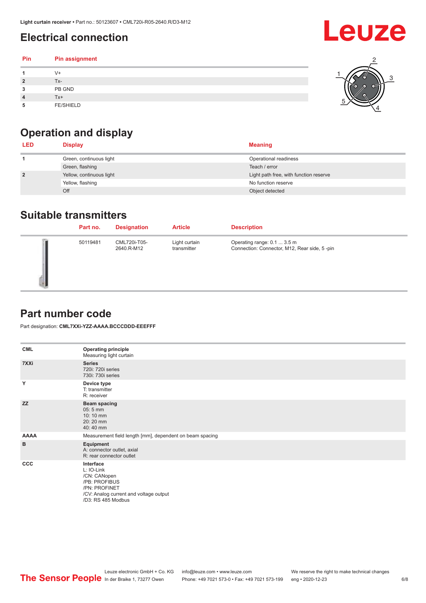### <span id="page-5-0"></span>**Electrical connection**

| Pin | Pin assignment   |  |
|-----|------------------|--|
|     | $V +$            |  |
| ຳ   | Tx-              |  |
| 3   | PB GND           |  |
|     | $Tx+$            |  |
| 5   | <b>FE/SHIELD</b> |  |

### **Operation and display**

| <b>LED</b>     | <b>Display</b>           | <b>Meaning</b>                         |
|----------------|--------------------------|----------------------------------------|
|                | Green, continuous light  | Operational readiness                  |
|                | Green, flashing          | Teach / error                          |
| $\overline{2}$ | Yellow, continuous light | Light path free, with function reserve |
|                | Yellow, flashing         | No function reserve                    |
|                | Off                      | Object detected                        |

#### **Suitable transmitters**

| Part no. | <b>Designation</b>         | <b>Article</b>               | <b>Description</b>                                                          |
|----------|----------------------------|------------------------------|-----------------------------------------------------------------------------|
| 50119481 | CML720i-T05-<br>2640.R-M12 | Light curtain<br>transmitter | Operating range: 0.1  3.5 m<br>Connection: Connector, M12, Rear side, 5-pin |

#### **Part number code**

Part designation: **CML7XXi-YZZ-AAAA.BCCCDDD-EEEFFF**

| <b>CML</b>  | <b>Operating principle</b><br>Measuring light curtain                                                                                     |
|-------------|-------------------------------------------------------------------------------------------------------------------------------------------|
| 7XXi        | <b>Series</b><br>720i: 720i series<br>730i: 730i series                                                                                   |
| Y           | Device type<br>T: transmitter<br>R: receiver                                                                                              |
| <b>ZZ</b>   | <b>Beam spacing</b><br>$05:5$ mm<br>10:10 mm<br>20:20 mm<br>40:40 mm                                                                      |
| <b>AAAA</b> | Measurement field length [mm], dependent on beam spacing                                                                                  |
| B           | Equipment<br>A: connector outlet, axial<br>R: rear connector outlet                                                                       |
| CCC         | Interface<br>L: IO-Link<br>/CN: CANopen<br>/PB: PROFIBUS<br>/PN: PROFINET<br>/CV: Analog current and voltage output<br>/D3: RS 485 Modbus |

**Leuze**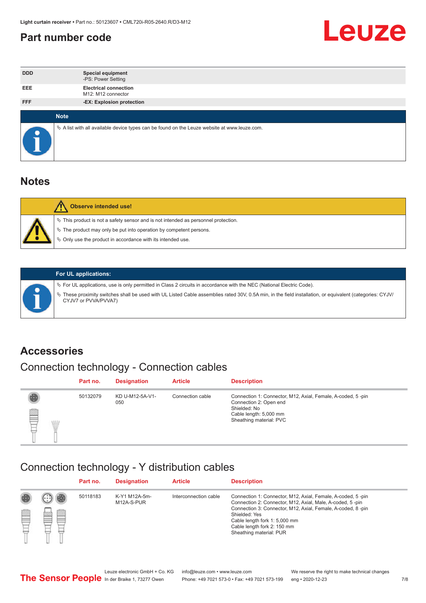#### <span id="page-6-0"></span>**Part number code**



| <b>DDD</b> | <b>Special equipment</b><br>-PS: Power Setting                                                  |
|------------|-------------------------------------------------------------------------------------------------|
| <b>EEE</b> | <b>Electrical connection</b><br>M12: M12 connector                                              |
| <b>FFF</b> | -EX: Explosion protection                                                                       |
|            |                                                                                                 |
|            | <b>Note</b>                                                                                     |
|            | $\&$ A list with all available device types can be found on the Leuze website at www.leuze.com. |

#### **Notes**

| Observe intended use!                                                                                                                                                                                                            |
|----------------------------------------------------------------------------------------------------------------------------------------------------------------------------------------------------------------------------------|
| $\%$ This product is not a safety sensor and is not intended as personnel protection.<br>$\%$ The product may only be put into operation by competent persons.<br>$\%$ Only use the product in accordance with its intended use. |
|                                                                                                                                                                                                                                  |



#### **For UL applications:**

ª For UL applications, use is only permitted in Class 2 circuits in accordance with the NEC (National Electric Code). ª These proximity switches shall be used with UL Listed Cable assemblies rated 30V, 0.5A min, in the field installation, or equivalent (categories: CYJV/ CYJV7 or PVVA/PVVA7)

#### **Accessories**

### Connection technology - Connection cables

|        | Part no. | <b>Designation</b>     | <b>Article</b>   | <b>Description</b>                                                                                                                                         |
|--------|----------|------------------------|------------------|------------------------------------------------------------------------------------------------------------------------------------------------------------|
| 2<br>W | 50132079 | KD U-M12-5A-V1-<br>050 | Connection cable | Connection 1: Connector, M12, Axial, Female, A-coded, 5-pin<br>Connection 2: Open end<br>Shielded: No<br>Cable length: 5,000 mm<br>Sheathing material: PVC |

#### Connection technology - Y distribution cables

|             |   | Part no. | <b>Designation</b>          | <b>Article</b>        | <b>Description</b>                                                                                                                                                                                                                                                                                  |
|-------------|---|----------|-----------------------------|-----------------------|-----------------------------------------------------------------------------------------------------------------------------------------------------------------------------------------------------------------------------------------------------------------------------------------------------|
| 圔<br>⋿<br>٣ | ø | 50118183 | K-Y1 M12A-5m-<br>M12A-S-PUR | Interconnection cable | Connection 1: Connector, M12, Axial, Female, A-coded, 5-pin<br>Connection 2: Connector, M12, Axial, Male, A-coded, 5-pin<br>Connection 3: Connector, M12, Axial, Female, A-coded, 8-pin<br>Shielded: Yes<br>Cable length fork 1: 5,000 mm<br>Cable length fork 2: 150 mm<br>Sheathing material: PUR |